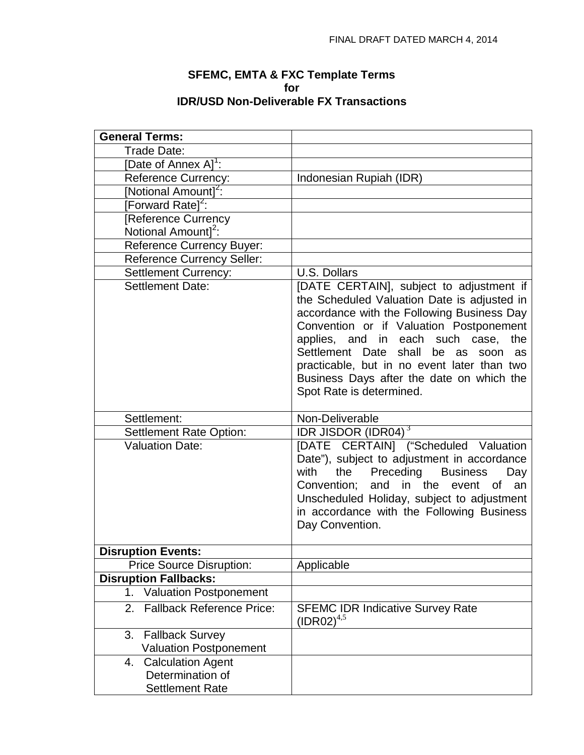## **SFEMC, EMTA & FXC Template Terms for IDR/USD Non-Deliverable FX Transactions**

| <b>General Terms:</b>                  |                                                                                                                                                                                                                                                                                                                                                                                                    |
|----------------------------------------|----------------------------------------------------------------------------------------------------------------------------------------------------------------------------------------------------------------------------------------------------------------------------------------------------------------------------------------------------------------------------------------------------|
| Trade Date:                            |                                                                                                                                                                                                                                                                                                                                                                                                    |
| [Date of Annex A] <sup>1</sup> :       |                                                                                                                                                                                                                                                                                                                                                                                                    |
| <b>Reference Currency:</b>             | Indonesian Rupiah (IDR)                                                                                                                                                                                                                                                                                                                                                                            |
| [Notional Amount] <sup>2</sup> :       |                                                                                                                                                                                                                                                                                                                                                                                                    |
| [Forward Rate] <sup>2</sup> :          |                                                                                                                                                                                                                                                                                                                                                                                                    |
| [Reference Currency                    |                                                                                                                                                                                                                                                                                                                                                                                                    |
| Notional Amount] <sup>2</sup> :        |                                                                                                                                                                                                                                                                                                                                                                                                    |
| <b>Reference Currency Buyer:</b>       |                                                                                                                                                                                                                                                                                                                                                                                                    |
| <b>Reference Currency Seller:</b>      |                                                                                                                                                                                                                                                                                                                                                                                                    |
| <b>Settlement Currency:</b>            | U.S. Dollars                                                                                                                                                                                                                                                                                                                                                                                       |
| <b>Settlement Date:</b>                | [DATE CERTAIN], subject to adjustment if<br>the Scheduled Valuation Date is adjusted in<br>accordance with the Following Business Day<br>Convention or if Valuation Postponement<br>applies, and in each such case, the<br>Settlement Date<br>shall<br>be as<br>soon<br>as<br>practicable, but in no event later than two<br>Business Days after the date on which the<br>Spot Rate is determined. |
| Settlement:                            | Non-Deliverable                                                                                                                                                                                                                                                                                                                                                                                    |
| <b>Settlement Rate Option:</b>         | IDR JISDOR (IDR04) $\overline{3}$                                                                                                                                                                                                                                                                                                                                                                  |
| <b>Valuation Date:</b>                 | [DATE CERTAIN] ("Scheduled Valuation<br>Date"), subject to adjustment in accordance<br><b>Business</b><br>with<br>Preceding<br>the<br>Day<br>an<br>Convention;<br>and<br>in the<br><b>of</b><br>event<br>Unscheduled Holiday, subject to adjustment<br>in accordance with the Following Business<br>Day Convention.                                                                                |
| <b>Disruption Events:</b>              |                                                                                                                                                                                                                                                                                                                                                                                                    |
| <b>Price Source Disruption:</b>        | Applicable                                                                                                                                                                                                                                                                                                                                                                                         |
| <b>Disruption Fallbacks:</b>           |                                                                                                                                                                                                                                                                                                                                                                                                    |
| <b>Valuation Postponement</b><br>1.    |                                                                                                                                                                                                                                                                                                                                                                                                    |
| <b>Fallback Reference Price:</b><br>2. | <b>SFEMC IDR Indicative Survey Rate</b><br>$(IDR02)^{4,5}$                                                                                                                                                                                                                                                                                                                                         |
| <b>Fallback Survey</b><br>3.           |                                                                                                                                                                                                                                                                                                                                                                                                    |
| <b>Valuation Postponement</b>          |                                                                                                                                                                                                                                                                                                                                                                                                    |
| <b>Calculation Agent</b><br>4.         |                                                                                                                                                                                                                                                                                                                                                                                                    |
| Determination of                       |                                                                                                                                                                                                                                                                                                                                                                                                    |
| <b>Settlement Rate</b>                 |                                                                                                                                                                                                                                                                                                                                                                                                    |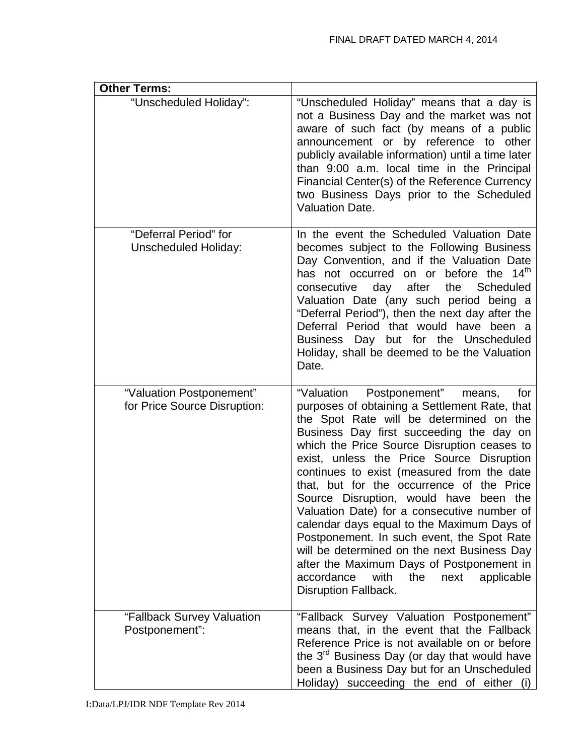| <b>Other Terms:</b>                                      |                                                                                                                                                                                                                                                                                                                                                                                                                                                                                                                                                                                                                                                                                                                                      |
|----------------------------------------------------------|--------------------------------------------------------------------------------------------------------------------------------------------------------------------------------------------------------------------------------------------------------------------------------------------------------------------------------------------------------------------------------------------------------------------------------------------------------------------------------------------------------------------------------------------------------------------------------------------------------------------------------------------------------------------------------------------------------------------------------------|
| "Unscheduled Holiday":                                   | "Unscheduled Holiday" means that a day is<br>not a Business Day and the market was not<br>aware of such fact (by means of a public<br>announcement or by reference to other<br>publicly available information) until a time later<br>than 9:00 a.m. local time in the Principal<br>Financial Center(s) of the Reference Currency<br>two Business Days prior to the Scheduled<br><b>Valuation Date.</b>                                                                                                                                                                                                                                                                                                                               |
| "Deferral Period" for<br><b>Unscheduled Holiday:</b>     | In the event the Scheduled Valuation Date<br>becomes subject to the Following Business<br>Day Convention, and if the Valuation Date<br>has not occurred on or before the 14 <sup>th</sup><br>consecutive<br>day after<br>the Scheduled<br>Valuation Date (any such period being a<br>"Deferral Period"), then the next day after the<br>Deferral Period that would have been a<br>Business Day but for the Unscheduled<br>Holiday, shall be deemed to be the Valuation<br>Date.                                                                                                                                                                                                                                                      |
| "Valuation Postponement"<br>for Price Source Disruption: | "Valuation Postponement"<br>means,<br>for<br>purposes of obtaining a Settlement Rate, that<br>the Spot Rate will be determined on the<br>Business Day first succeeding the day on<br>which the Price Source Disruption ceases to<br>exist, unless the Price Source Disruption<br>continues to exist (measured from the date<br>that, but for the occurrence of the Price<br>Source Disruption, would have been the<br>Valuation Date) for a consecutive number of<br>calendar days equal to the Maximum Days of<br>Postponement. In such event, the Spot Rate<br>will be determined on the next Business Day<br>after the Maximum Days of Postponement in<br>accordance<br>with<br>the<br>next<br>applicable<br>Disruption Fallback. |
| "Fallback Survey Valuation<br>Postponement":             | "Fallback Survey Valuation Postponement"<br>means that, in the event that the Fallback<br>Reference Price is not available on or before<br>the 3 <sup>rd</sup> Business Day (or day that would have<br>been a Business Day but for an Unscheduled<br>Holiday) succeeding the end of either (i)                                                                                                                                                                                                                                                                                                                                                                                                                                       |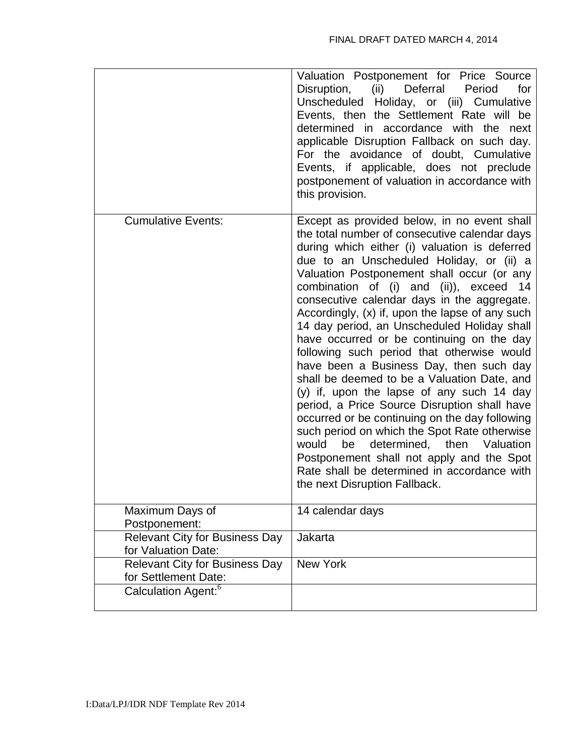|                                                               | Valuation Postponement for Price Source<br>Deferral Period<br>Disruption,<br>(ii)<br>for<br>Unscheduled Holiday, or (iii) Cumulative<br>Events, then the Settlement Rate will be<br>determined in accordance with the next<br>applicable Disruption Fallback on such day.<br>For the avoidance of doubt, Cumulative<br>Events, if applicable, does not preclude<br>postponement of valuation in accordance with<br>this provision.                                                                                                                                                                                                                                                                                                                                                                                                                                                                                                                                                                         |
|---------------------------------------------------------------|------------------------------------------------------------------------------------------------------------------------------------------------------------------------------------------------------------------------------------------------------------------------------------------------------------------------------------------------------------------------------------------------------------------------------------------------------------------------------------------------------------------------------------------------------------------------------------------------------------------------------------------------------------------------------------------------------------------------------------------------------------------------------------------------------------------------------------------------------------------------------------------------------------------------------------------------------------------------------------------------------------|
| <b>Cumulative Events:</b>                                     | Except as provided below, in no event shall<br>the total number of consecutive calendar days<br>during which either (i) valuation is deferred<br>due to an Unscheduled Holiday, or (ii) a<br>Valuation Postponement shall occur (or any<br>combination of (i) and (ii)), exceed<br>14<br>consecutive calendar days in the aggregate.<br>Accordingly, (x) if, upon the lapse of any such<br>14 day period, an Unscheduled Holiday shall<br>have occurred or be continuing on the day<br>following such period that otherwise would<br>have been a Business Day, then such day<br>shall be deemed to be a Valuation Date, and<br>(y) if, upon the lapse of any such 14 day<br>period, a Price Source Disruption shall have<br>occurred or be continuing on the day following<br>such period on which the Spot Rate otherwise<br>then<br>would<br>be<br>determined,<br>Valuation<br>Postponement shall not apply and the Spot<br>Rate shall be determined in accordance with<br>the next Disruption Fallback. |
| Maximum Days of<br>Postponement:                              | 14 calendar days                                                                                                                                                                                                                                                                                                                                                                                                                                                                                                                                                                                                                                                                                                                                                                                                                                                                                                                                                                                           |
| <b>Relevant City for Business Day</b><br>for Valuation Date:  | Jakarta                                                                                                                                                                                                                                                                                                                                                                                                                                                                                                                                                                                                                                                                                                                                                                                                                                                                                                                                                                                                    |
| <b>Relevant City for Business Day</b><br>for Settlement Date: | <b>New York</b>                                                                                                                                                                                                                                                                                                                                                                                                                                                                                                                                                                                                                                                                                                                                                                                                                                                                                                                                                                                            |
| Calculation Agent: <sup>6</sup>                               |                                                                                                                                                                                                                                                                                                                                                                                                                                                                                                                                                                                                                                                                                                                                                                                                                                                                                                                                                                                                            |